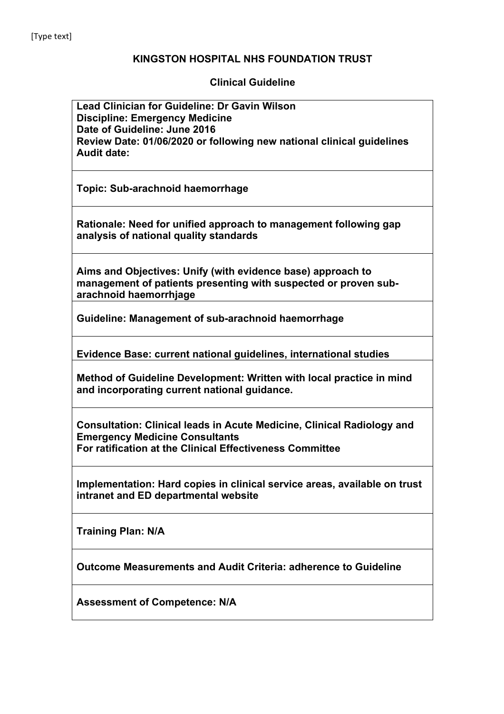## **KINGSTON HOSPITAL NHS FOUNDATION TRUST**

**Clinical Guideline**

**Lead Clinician for Guideline: Dr Gavin Wilson Discipline: Emergency Medicine Date of Guideline: June 2016 Review Date: 01/06/2020 or following new national clinical guidelines Audit date:**

**Topic: Sub-arachnoid haemorrhage**

**Rationale: Need for unified approach to management following gap analysis of national quality standards**

**Aims and Objectives: Unify (with evidence base) approach to management of patients presenting with suspected or proven subarachnoid haemorrhjage**

**Guideline: Management of sub-arachnoid haemorrhage**

**Evidence Base: current national guidelines, international studies**

**Method of Guideline Development: Written with local practice in mind and incorporating current national guidance.** 

**Consultation: Clinical leads in Acute Medicine, Clinical Radiology and Emergency Medicine Consultants For ratification at the Clinical Effectiveness Committee**

**Implementation: Hard copies in clinical service areas, available on trust intranet and ED departmental website**

**Training Plan: N/A**

**Outcome Measurements and Audit Criteria: adherence to Guideline**

**Assessment of Competence: N/A**